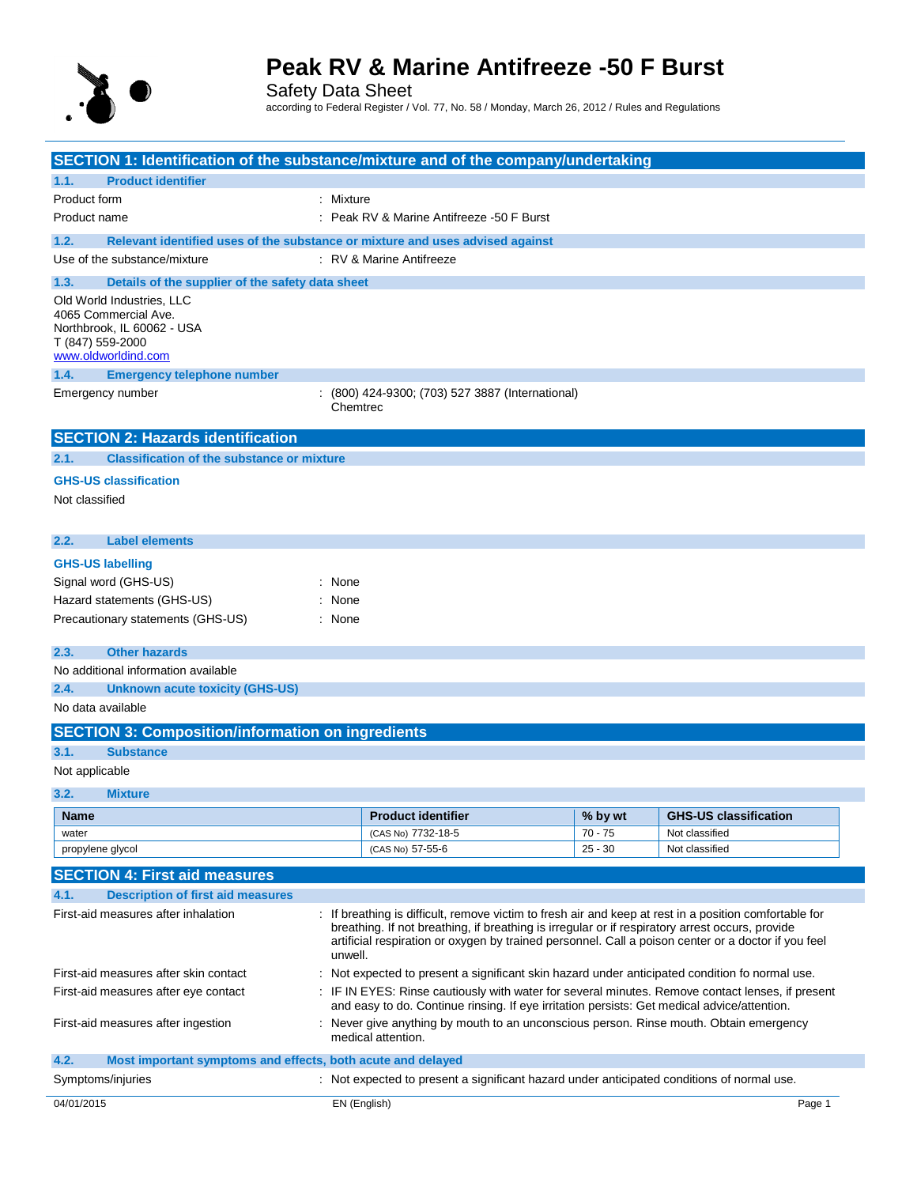

Safety Data Sheet according to Federal Register / Vol. 77, No. 58 / Monday, March 26, 2012 / Rules and Regulations

| SECTION 1: Identification of the substance/mixture and of the company/undertaking     |                                                                                                                                                                                                                   |           |                              |  |
|---------------------------------------------------------------------------------------|-------------------------------------------------------------------------------------------------------------------------------------------------------------------------------------------------------------------|-----------|------------------------------|--|
| <b>Product identifier</b><br>1.1.                                                     |                                                                                                                                                                                                                   |           |                              |  |
| Product form                                                                          | : Mixture                                                                                                                                                                                                         |           |                              |  |
| Product name                                                                          | : Peak RV & Marine Antifreeze -50 F Burst                                                                                                                                                                         |           |                              |  |
| 1.2.                                                                                  | Relevant identified uses of the substance or mixture and uses advised against                                                                                                                                     |           |                              |  |
| Use of the substance/mixture                                                          | : RV & Marine Antifreeze                                                                                                                                                                                          |           |                              |  |
|                                                                                       |                                                                                                                                                                                                                   |           |                              |  |
| 1.3.<br>Details of the supplier of the safety data sheet<br>Old World Industries, LLC |                                                                                                                                                                                                                   |           |                              |  |
| 4065 Commercial Ave.                                                                  |                                                                                                                                                                                                                   |           |                              |  |
| Northbrook, IL 60062 - USA                                                            |                                                                                                                                                                                                                   |           |                              |  |
| T (847) 559-2000<br>www.oldworldind.com                                               |                                                                                                                                                                                                                   |           |                              |  |
| 1.4.<br><b>Emergency telephone number</b>                                             |                                                                                                                                                                                                                   |           |                              |  |
| Emergency number                                                                      | : (800) 424-9300; (703) 527 3887 (International)                                                                                                                                                                  |           |                              |  |
|                                                                                       | Chemtrec                                                                                                                                                                                                          |           |                              |  |
|                                                                                       |                                                                                                                                                                                                                   |           |                              |  |
| <b>SECTION 2: Hazards identification</b>                                              |                                                                                                                                                                                                                   |           |                              |  |
| <b>Classification of the substance or mixture</b><br>2.1.                             |                                                                                                                                                                                                                   |           |                              |  |
| <b>GHS-US classification</b>                                                          |                                                                                                                                                                                                                   |           |                              |  |
| Not classified                                                                        |                                                                                                                                                                                                                   |           |                              |  |
|                                                                                       |                                                                                                                                                                                                                   |           |                              |  |
| <b>Label elements</b><br>2.2.                                                         |                                                                                                                                                                                                                   |           |                              |  |
| <b>GHS-US labelling</b>                                                               |                                                                                                                                                                                                                   |           |                              |  |
| Signal word (GHS-US)                                                                  | : None                                                                                                                                                                                                            |           |                              |  |
| Hazard statements (GHS-US)                                                            | None                                                                                                                                                                                                              |           |                              |  |
| Precautionary statements (GHS-US)                                                     | : None                                                                                                                                                                                                            |           |                              |  |
|                                                                                       |                                                                                                                                                                                                                   |           |                              |  |
| 2.3.<br><b>Other hazards</b>                                                          |                                                                                                                                                                                                                   |           |                              |  |
| No additional information available                                                   |                                                                                                                                                                                                                   |           |                              |  |
| <b>Unknown acute toxicity (GHS-US)</b><br>2.4.                                        |                                                                                                                                                                                                                   |           |                              |  |
| No data available                                                                     |                                                                                                                                                                                                                   |           |                              |  |
| <b>SECTION 3: Composition/information on ingredients</b>                              |                                                                                                                                                                                                                   |           |                              |  |
| 3.1.<br><b>Substance</b>                                                              |                                                                                                                                                                                                                   |           |                              |  |
| Not applicable                                                                        |                                                                                                                                                                                                                   |           |                              |  |
| 3.2.<br><b>Mixture</b>                                                                |                                                                                                                                                                                                                   |           |                              |  |
| <b>Name</b>                                                                           | Product identifier                                                                                                                                                                                                | % by wt   | <b>GHS-US classification</b> |  |
| water                                                                                 | (CAS No) 7732-18-5                                                                                                                                                                                                | $70 - 75$ | Not classified               |  |
| propylene glycol                                                                      | (CAS No) 57-55-6                                                                                                                                                                                                  | $25 - 30$ | Not classified               |  |
| <b>SECTION 4: First aid measures</b>                                                  |                                                                                                                                                                                                                   |           |                              |  |
| <b>Description of first aid measures</b><br>4.1.                                      |                                                                                                                                                                                                                   |           |                              |  |
| First-aid measures after inhalation                                                   | If breathing is difficult, remove victim to fresh air and keep at rest in a position comfortable for                                                                                                              |           |                              |  |
|                                                                                       | breathing. If not breathing, if breathing is irregular or if respiratory arrest occurs, provide<br>artificial respiration or oxygen by trained personnel. Call a poison center or a doctor if you feel<br>unwell. |           |                              |  |
| First-aid measures after skin contact                                                 | Not expected to present a significant skin hazard under anticipated condition fo normal use.                                                                                                                      |           |                              |  |
| First-aid measures after eye contact                                                  | IF IN EYES: Rinse cautiously with water for several minutes. Remove contact lenses, if present<br>and easy to do. Continue rinsing. If eye irritation persists: Get medical advice/attention.                     |           |                              |  |
| First-aid measures after ingestion                                                    | : Never give anything by mouth to an unconscious person. Rinse mouth. Obtain emergency<br>medical attention.                                                                                                      |           |                              |  |
| Most important symptoms and effects, both acute and delayed<br>4.2.                   |                                                                                                                                                                                                                   |           |                              |  |
| Symptoms/injuries                                                                     | : Not expected to present a significant hazard under anticipated conditions of normal use.                                                                                                                        |           |                              |  |
| 04/01/2015                                                                            | EN (English)                                                                                                                                                                                                      |           | Page 1                       |  |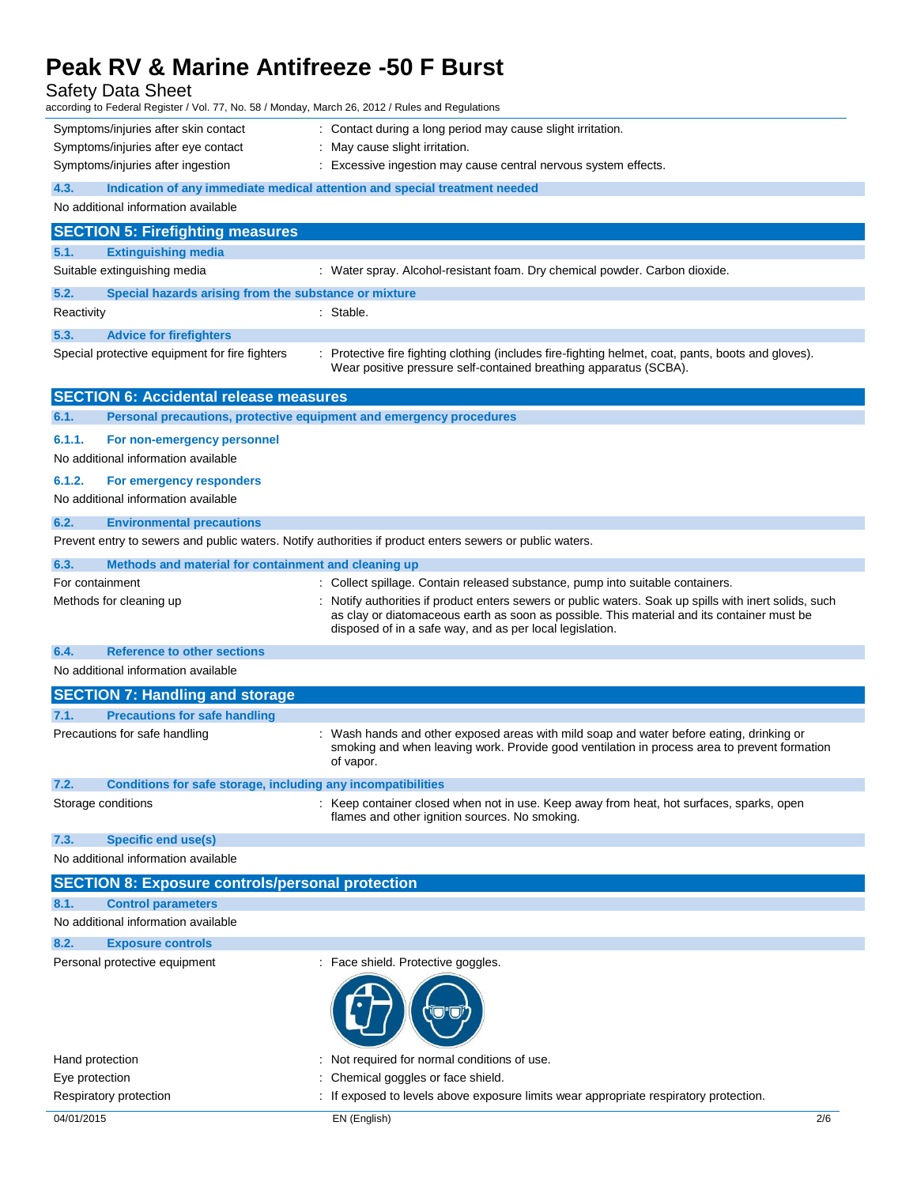Safety Data Sheet

| Symptoms/injuries after skin contact<br>: Contact during a long period may cause slight irritation.<br>Symptoms/injuries after eye contact<br>: May cause slight irritation.<br>Symptoms/injuries after ingestion<br>: Excessive ingestion may cause central nervous system effects.<br>4.3.<br>Indication of any immediate medical attention and special treatment needed<br>No additional information available<br><b>SECTION 5: Firefighting measures</b><br>5.1.<br><b>Extinguishing media</b><br>Suitable extinguishing media<br>: Water spray. Alcohol-resistant foam. Dry chemical powder. Carbon dioxide.<br>5.2.<br>Special hazards arising from the substance or mixture<br>Reactivity<br>: Stable.<br>5.3.<br><b>Advice for firefighters</b><br>: Protective fire fighting clothing (includes fire-fighting helmet, coat, pants, boots and gloves).<br>Special protective equipment for fire fighters<br>Wear positive pressure self-contained breathing apparatus (SCBA).<br><b>SECTION 6: Accidental release measures</b><br>6.1.<br>Personal precautions, protective equipment and emergency procedures<br>6.1.1.<br>For non-emergency personnel<br>No additional information available<br>6.1.2.<br>For emergency responders<br>No additional information available<br>6.2.<br><b>Environmental precautions</b><br>Prevent entry to sewers and public waters. Notify authorities if product enters sewers or public waters.<br>6.3.<br>Methods and material for containment and cleaning up<br>For containment<br>: Collect spillage. Contain released substance, pump into suitable containers. |
|-----------------------------------------------------------------------------------------------------------------------------------------------------------------------------------------------------------------------------------------------------------------------------------------------------------------------------------------------------------------------------------------------------------------------------------------------------------------------------------------------------------------------------------------------------------------------------------------------------------------------------------------------------------------------------------------------------------------------------------------------------------------------------------------------------------------------------------------------------------------------------------------------------------------------------------------------------------------------------------------------------------------------------------------------------------------------------------------------------------------------------------------------------------------------------------------------------------------------------------------------------------------------------------------------------------------------------------------------------------------------------------------------------------------------------------------------------------------------------------------------------------------------------------------------------------------------------------------------------------------|
|                                                                                                                                                                                                                                                                                                                                                                                                                                                                                                                                                                                                                                                                                                                                                                                                                                                                                                                                                                                                                                                                                                                                                                                                                                                                                                                                                                                                                                                                                                                                                                                                                 |
|                                                                                                                                                                                                                                                                                                                                                                                                                                                                                                                                                                                                                                                                                                                                                                                                                                                                                                                                                                                                                                                                                                                                                                                                                                                                                                                                                                                                                                                                                                                                                                                                                 |
|                                                                                                                                                                                                                                                                                                                                                                                                                                                                                                                                                                                                                                                                                                                                                                                                                                                                                                                                                                                                                                                                                                                                                                                                                                                                                                                                                                                                                                                                                                                                                                                                                 |
|                                                                                                                                                                                                                                                                                                                                                                                                                                                                                                                                                                                                                                                                                                                                                                                                                                                                                                                                                                                                                                                                                                                                                                                                                                                                                                                                                                                                                                                                                                                                                                                                                 |
|                                                                                                                                                                                                                                                                                                                                                                                                                                                                                                                                                                                                                                                                                                                                                                                                                                                                                                                                                                                                                                                                                                                                                                                                                                                                                                                                                                                                                                                                                                                                                                                                                 |
|                                                                                                                                                                                                                                                                                                                                                                                                                                                                                                                                                                                                                                                                                                                                                                                                                                                                                                                                                                                                                                                                                                                                                                                                                                                                                                                                                                                                                                                                                                                                                                                                                 |
|                                                                                                                                                                                                                                                                                                                                                                                                                                                                                                                                                                                                                                                                                                                                                                                                                                                                                                                                                                                                                                                                                                                                                                                                                                                                                                                                                                                                                                                                                                                                                                                                                 |
|                                                                                                                                                                                                                                                                                                                                                                                                                                                                                                                                                                                                                                                                                                                                                                                                                                                                                                                                                                                                                                                                                                                                                                                                                                                                                                                                                                                                                                                                                                                                                                                                                 |
|                                                                                                                                                                                                                                                                                                                                                                                                                                                                                                                                                                                                                                                                                                                                                                                                                                                                                                                                                                                                                                                                                                                                                                                                                                                                                                                                                                                                                                                                                                                                                                                                                 |
|                                                                                                                                                                                                                                                                                                                                                                                                                                                                                                                                                                                                                                                                                                                                                                                                                                                                                                                                                                                                                                                                                                                                                                                                                                                                                                                                                                                                                                                                                                                                                                                                                 |
|                                                                                                                                                                                                                                                                                                                                                                                                                                                                                                                                                                                                                                                                                                                                                                                                                                                                                                                                                                                                                                                                                                                                                                                                                                                                                                                                                                                                                                                                                                                                                                                                                 |
|                                                                                                                                                                                                                                                                                                                                                                                                                                                                                                                                                                                                                                                                                                                                                                                                                                                                                                                                                                                                                                                                                                                                                                                                                                                                                                                                                                                                                                                                                                                                                                                                                 |
|                                                                                                                                                                                                                                                                                                                                                                                                                                                                                                                                                                                                                                                                                                                                                                                                                                                                                                                                                                                                                                                                                                                                                                                                                                                                                                                                                                                                                                                                                                                                                                                                                 |
|                                                                                                                                                                                                                                                                                                                                                                                                                                                                                                                                                                                                                                                                                                                                                                                                                                                                                                                                                                                                                                                                                                                                                                                                                                                                                                                                                                                                                                                                                                                                                                                                                 |
|                                                                                                                                                                                                                                                                                                                                                                                                                                                                                                                                                                                                                                                                                                                                                                                                                                                                                                                                                                                                                                                                                                                                                                                                                                                                                                                                                                                                                                                                                                                                                                                                                 |
|                                                                                                                                                                                                                                                                                                                                                                                                                                                                                                                                                                                                                                                                                                                                                                                                                                                                                                                                                                                                                                                                                                                                                                                                                                                                                                                                                                                                                                                                                                                                                                                                                 |
|                                                                                                                                                                                                                                                                                                                                                                                                                                                                                                                                                                                                                                                                                                                                                                                                                                                                                                                                                                                                                                                                                                                                                                                                                                                                                                                                                                                                                                                                                                                                                                                                                 |
|                                                                                                                                                                                                                                                                                                                                                                                                                                                                                                                                                                                                                                                                                                                                                                                                                                                                                                                                                                                                                                                                                                                                                                                                                                                                                                                                                                                                                                                                                                                                                                                                                 |
|                                                                                                                                                                                                                                                                                                                                                                                                                                                                                                                                                                                                                                                                                                                                                                                                                                                                                                                                                                                                                                                                                                                                                                                                                                                                                                                                                                                                                                                                                                                                                                                                                 |
|                                                                                                                                                                                                                                                                                                                                                                                                                                                                                                                                                                                                                                                                                                                                                                                                                                                                                                                                                                                                                                                                                                                                                                                                                                                                                                                                                                                                                                                                                                                                                                                                                 |
|                                                                                                                                                                                                                                                                                                                                                                                                                                                                                                                                                                                                                                                                                                                                                                                                                                                                                                                                                                                                                                                                                                                                                                                                                                                                                                                                                                                                                                                                                                                                                                                                                 |
|                                                                                                                                                                                                                                                                                                                                                                                                                                                                                                                                                                                                                                                                                                                                                                                                                                                                                                                                                                                                                                                                                                                                                                                                                                                                                                                                                                                                                                                                                                                                                                                                                 |
|                                                                                                                                                                                                                                                                                                                                                                                                                                                                                                                                                                                                                                                                                                                                                                                                                                                                                                                                                                                                                                                                                                                                                                                                                                                                                                                                                                                                                                                                                                                                                                                                                 |
| : Notify authorities if product enters sewers or public waters. Soak up spills with inert solids, such<br>Methods for cleaning up                                                                                                                                                                                                                                                                                                                                                                                                                                                                                                                                                                                                                                                                                                                                                                                                                                                                                                                                                                                                                                                                                                                                                                                                                                                                                                                                                                                                                                                                               |
| as clay or diatomaceous earth as soon as possible. This material and its container must be                                                                                                                                                                                                                                                                                                                                                                                                                                                                                                                                                                                                                                                                                                                                                                                                                                                                                                                                                                                                                                                                                                                                                                                                                                                                                                                                                                                                                                                                                                                      |
| disposed of in a safe way, and as per local legislation.                                                                                                                                                                                                                                                                                                                                                                                                                                                                                                                                                                                                                                                                                                                                                                                                                                                                                                                                                                                                                                                                                                                                                                                                                                                                                                                                                                                                                                                                                                                                                        |
| 6.4.<br><b>Reference to other sections</b>                                                                                                                                                                                                                                                                                                                                                                                                                                                                                                                                                                                                                                                                                                                                                                                                                                                                                                                                                                                                                                                                                                                                                                                                                                                                                                                                                                                                                                                                                                                                                                      |
| No additional information available                                                                                                                                                                                                                                                                                                                                                                                                                                                                                                                                                                                                                                                                                                                                                                                                                                                                                                                                                                                                                                                                                                                                                                                                                                                                                                                                                                                                                                                                                                                                                                             |
| <b>SECTION 7: Handling and storage</b>                                                                                                                                                                                                                                                                                                                                                                                                                                                                                                                                                                                                                                                                                                                                                                                                                                                                                                                                                                                                                                                                                                                                                                                                                                                                                                                                                                                                                                                                                                                                                                          |
| <b>Precautions for safe handling</b><br>7.1.                                                                                                                                                                                                                                                                                                                                                                                                                                                                                                                                                                                                                                                                                                                                                                                                                                                                                                                                                                                                                                                                                                                                                                                                                                                                                                                                                                                                                                                                                                                                                                    |
| Precautions for safe handling<br>: Wash hands and other exposed areas with mild soap and water before eating, drinking or                                                                                                                                                                                                                                                                                                                                                                                                                                                                                                                                                                                                                                                                                                                                                                                                                                                                                                                                                                                                                                                                                                                                                                                                                                                                                                                                                                                                                                                                                       |
| smoking and when leaving work. Provide good ventilation in process area to prevent formation<br>of vapor.                                                                                                                                                                                                                                                                                                                                                                                                                                                                                                                                                                                                                                                                                                                                                                                                                                                                                                                                                                                                                                                                                                                                                                                                                                                                                                                                                                                                                                                                                                       |
| 7.2.<br>Conditions for safe storage, including any incompatibilities                                                                                                                                                                                                                                                                                                                                                                                                                                                                                                                                                                                                                                                                                                                                                                                                                                                                                                                                                                                                                                                                                                                                                                                                                                                                                                                                                                                                                                                                                                                                            |
| Storage conditions<br>: Keep container closed when not in use. Keep away from heat, hot surfaces, sparks, open                                                                                                                                                                                                                                                                                                                                                                                                                                                                                                                                                                                                                                                                                                                                                                                                                                                                                                                                                                                                                                                                                                                                                                                                                                                                                                                                                                                                                                                                                                  |
| flames and other ignition sources. No smoking.                                                                                                                                                                                                                                                                                                                                                                                                                                                                                                                                                                                                                                                                                                                                                                                                                                                                                                                                                                                                                                                                                                                                                                                                                                                                                                                                                                                                                                                                                                                                                                  |
| <b>Specific end use(s)</b><br>7.3.                                                                                                                                                                                                                                                                                                                                                                                                                                                                                                                                                                                                                                                                                                                                                                                                                                                                                                                                                                                                                                                                                                                                                                                                                                                                                                                                                                                                                                                                                                                                                                              |
| No additional information available                                                                                                                                                                                                                                                                                                                                                                                                                                                                                                                                                                                                                                                                                                                                                                                                                                                                                                                                                                                                                                                                                                                                                                                                                                                                                                                                                                                                                                                                                                                                                                             |
| <b>SECTION 8: Exposure controls/personal protection</b>                                                                                                                                                                                                                                                                                                                                                                                                                                                                                                                                                                                                                                                                                                                                                                                                                                                                                                                                                                                                                                                                                                                                                                                                                                                                                                                                                                                                                                                                                                                                                         |
| 8.1.<br><b>Control parameters</b>                                                                                                                                                                                                                                                                                                                                                                                                                                                                                                                                                                                                                                                                                                                                                                                                                                                                                                                                                                                                                                                                                                                                                                                                                                                                                                                                                                                                                                                                                                                                                                               |
| No additional information available                                                                                                                                                                                                                                                                                                                                                                                                                                                                                                                                                                                                                                                                                                                                                                                                                                                                                                                                                                                                                                                                                                                                                                                                                                                                                                                                                                                                                                                                                                                                                                             |
|                                                                                                                                                                                                                                                                                                                                                                                                                                                                                                                                                                                                                                                                                                                                                                                                                                                                                                                                                                                                                                                                                                                                                                                                                                                                                                                                                                                                                                                                                                                                                                                                                 |
| 8.2.                                                                                                                                                                                                                                                                                                                                                                                                                                                                                                                                                                                                                                                                                                                                                                                                                                                                                                                                                                                                                                                                                                                                                                                                                                                                                                                                                                                                                                                                                                                                                                                                            |
| <b>Exposure controls</b>                                                                                                                                                                                                                                                                                                                                                                                                                                                                                                                                                                                                                                                                                                                                                                                                                                                                                                                                                                                                                                                                                                                                                                                                                                                                                                                                                                                                                                                                                                                                                                                        |
| : Face shield. Protective goggles.<br>Personal protective equipment                                                                                                                                                                                                                                                                                                                                                                                                                                                                                                                                                                                                                                                                                                                                                                                                                                                                                                                                                                                                                                                                                                                                                                                                                                                                                                                                                                                                                                                                                                                                             |
|                                                                                                                                                                                                                                                                                                                                                                                                                                                                                                                                                                                                                                                                                                                                                                                                                                                                                                                                                                                                                                                                                                                                                                                                                                                                                                                                                                                                                                                                                                                                                                                                                 |
|                                                                                                                                                                                                                                                                                                                                                                                                                                                                                                                                                                                                                                                                                                                                                                                                                                                                                                                                                                                                                                                                                                                                                                                                                                                                                                                                                                                                                                                                                                                                                                                                                 |
|                                                                                                                                                                                                                                                                                                                                                                                                                                                                                                                                                                                                                                                                                                                                                                                                                                                                                                                                                                                                                                                                                                                                                                                                                                                                                                                                                                                                                                                                                                                                                                                                                 |
| Not required for normal conditions of use.<br>Hand protection                                                                                                                                                                                                                                                                                                                                                                                                                                                                                                                                                                                                                                                                                                                                                                                                                                                                                                                                                                                                                                                                                                                                                                                                                                                                                                                                                                                                                                                                                                                                                   |
| Chemical goggles or face shield.<br>Eye protection                                                                                                                                                                                                                                                                                                                                                                                                                                                                                                                                                                                                                                                                                                                                                                                                                                                                                                                                                                                                                                                                                                                                                                                                                                                                                                                                                                                                                                                                                                                                                              |
| If exposed to levels above exposure limits wear appropriate respiratory protection.<br>Respiratory protection                                                                                                                                                                                                                                                                                                                                                                                                                                                                                                                                                                                                                                                                                                                                                                                                                                                                                                                                                                                                                                                                                                                                                                                                                                                                                                                                                                                                                                                                                                   |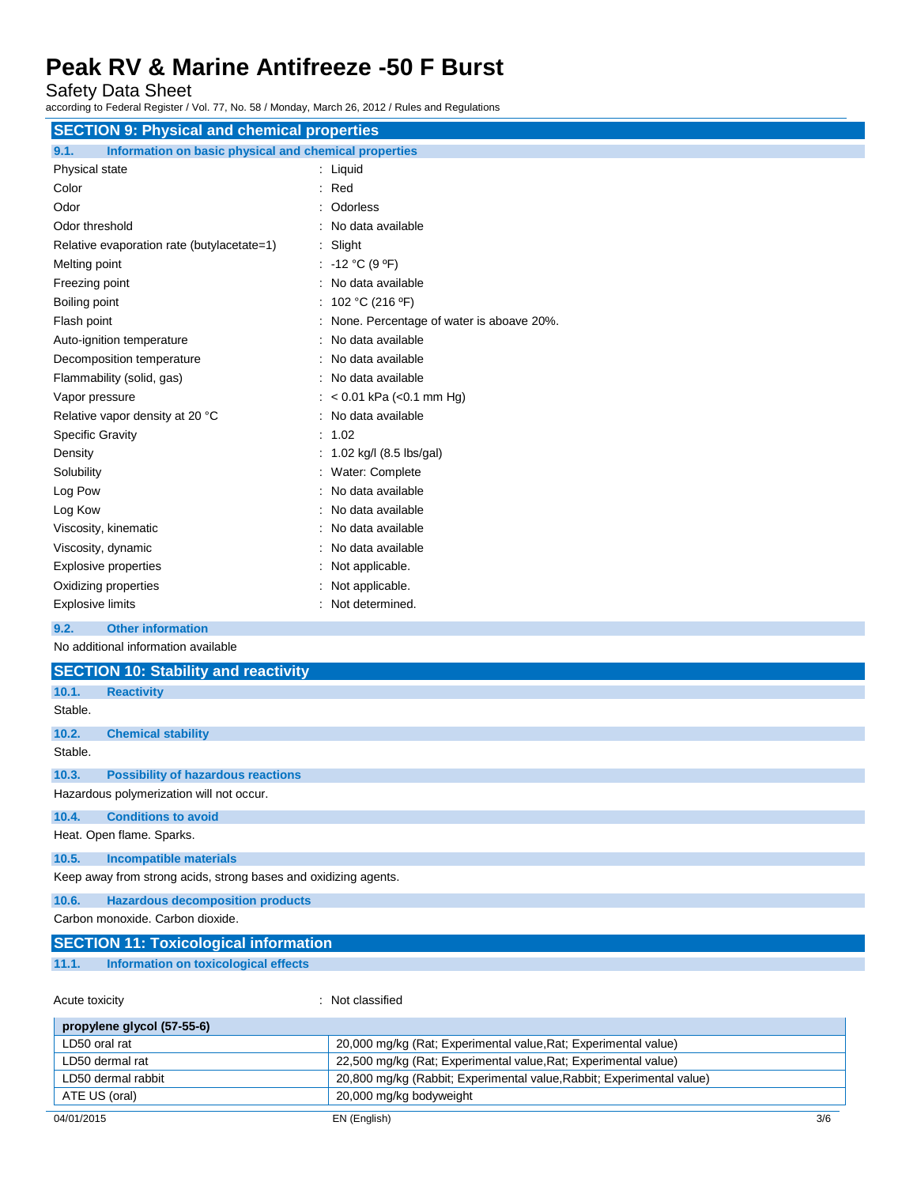Safety Data Sheet

according to Federal Register / Vol. 77, No. 58 / Monday, March 26, 2012 / Rules and Regulations

| <b>SECTION 9: Physical and chemical properties</b>            |                                            |
|---------------------------------------------------------------|--------------------------------------------|
| Information on basic physical and chemical properties<br>9.1. |                                            |
| Physical state                                                | : Liquid                                   |
| Color                                                         | $:$ Red                                    |
| Odor                                                          | : Odorless                                 |
| Odor threshold                                                | : No data available                        |
| Relative evaporation rate (butylacetate=1)                    | : Slight                                   |
| Melting point                                                 | : -12 °C (9 °F)                            |
| Freezing point                                                | : No data available                        |
| Boiling point                                                 | : 102 °C (216 °F)                          |
| Flash point                                                   | : None. Percentage of water is aboave 20%. |
| Auto-ignition temperature                                     | : No data available                        |
| Decomposition temperature                                     | : No data available                        |
| Flammability (solid, gas)                                     | : No data available                        |
| Vapor pressure                                                | : $< 0.01$ kPa ( $< 0.1$ mm Hg)            |
| Relative vapor density at 20 °C                               | : No data available                        |
| <b>Specific Gravity</b>                                       | : 1.02                                     |
| Density                                                       | : $1.02$ kg/l (8.5 lbs/gal)                |
| Solubility                                                    | : Water: Complete                          |
| Log Pow                                                       | : No data available                        |
| Log Kow                                                       | : No data available                        |
| Viscosity, kinematic                                          | : No data available                        |
| Viscosity, dynamic                                            | : No data available                        |
| Explosive properties                                          | : Not applicable.                          |
| Oxidizing properties                                          | : Not applicable.                          |
| <b>Explosive limits</b>                                       | : Not determined.                          |
| 9.2.<br><b>Other information</b>                              |                                            |

No additional information available

|         | <b>SECTION 10: Stability and reactivity</b>                     |
|---------|-----------------------------------------------------------------|
| 10.1.   | <b>Reactivity</b>                                               |
| Stable. |                                                                 |
| 10.2.   | <b>Chemical stability</b>                                       |
| Stable. |                                                                 |
| 10.3.   | <b>Possibility of hazardous reactions</b>                       |
|         | Hazardous polymerization will not occur.                        |
| 10.4.   | <b>Conditions to avoid</b>                                      |
|         | Heat. Open flame. Sparks.                                       |
| 10.5.   | <b>Incompatible materials</b>                                   |
|         | Keep away from strong acids, strong bases and oxidizing agents. |
| 10.6.   | <b>Hazardous decomposition products</b>                         |
|         | Carbon monoxide, Carbon dioxide.                                |

|       | <b>SECTION 11: Toxicological information</b> |  |  |  |
|-------|----------------------------------------------|--|--|--|
| 11.1. | Information on toxicological effects         |  |  |  |
|       |                                              |  |  |  |

| Acute toxicity             | : Not classified                                                      |     |
|----------------------------|-----------------------------------------------------------------------|-----|
| propylene glycol (57-55-6) |                                                                       |     |
| LD50 oral rat              | 20,000 mg/kg (Rat; Experimental value, Rat; Experimental value)       |     |
| LD50 dermal rat            | 22,500 mg/kg (Rat: Experimental value, Rat: Experimental value)       |     |
| LD50 dermal rabbit         | 20,800 mg/kg (Rabbit; Experimental value, Rabbit; Experimental value) |     |
| ATE US (oral)              | 20,000 mg/kg bodyweight                                               |     |
| 04/01/2015                 | EN (English)                                                          | 3/6 |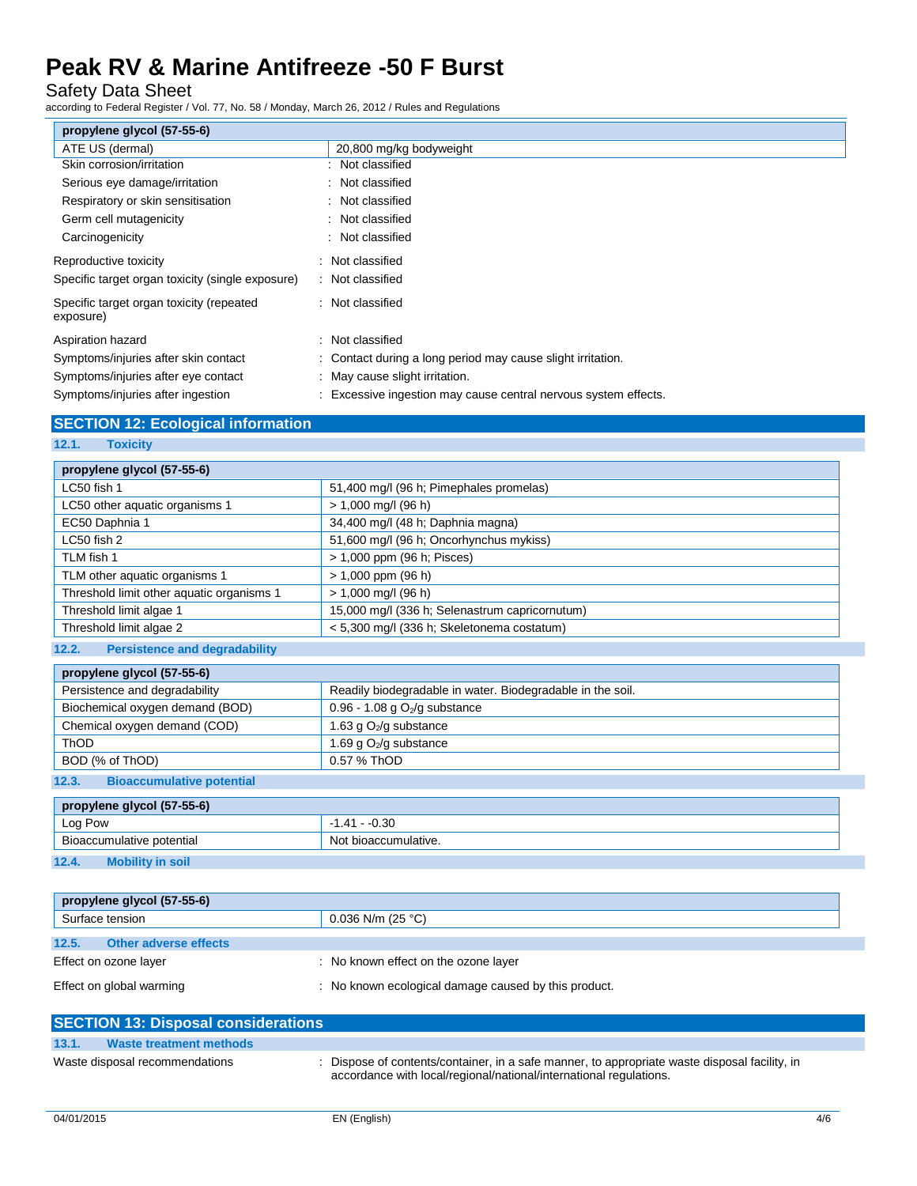Safety Data Sheet

according to Federal Register / Vol. 77, No. 58 / Monday, March 26, 2012 / Rules and Regulations

| propylene glycol (57-55-6)                            |                                                                 |
|-------------------------------------------------------|-----------------------------------------------------------------|
| ATE US (dermal)                                       | 20,800 mg/kg bodyweight                                         |
| Skin corrosion/irritation                             | : Not classified                                                |
| Serious eye damage/irritation                         | : Not classified                                                |
| Respiratory or skin sensitisation                     | : Not classified                                                |
| Germ cell mutagenicity                                | : Not classified                                                |
| Carcinogenicity                                       | : Not classified                                                |
| Reproductive toxicity                                 | : Not classified                                                |
| Specific target organ toxicity (single exposure)      | : Not classified                                                |
| Specific target organ toxicity (repeated<br>exposure) | : Not classified                                                |
| Aspiration hazard                                     | : Not classified                                                |
| Symptoms/injuries after skin contact                  | : Contact during a long period may cause slight irritation.     |
| Symptoms/injuries after eye contact                   | : May cause slight irritation.                                  |
| Symptoms/injuries after ingestion                     | : Excessive ingestion may cause central nervous system effects. |

## **SECTION 12: Ecological information**

**12.1. Toxicity**

| propylene glycol (57-55-6)                |                                                |
|-------------------------------------------|------------------------------------------------|
| LC50 fish 1                               | 51,400 mg/l (96 h; Pimephales promelas)        |
| LC50 other aquatic organisms 1            | $> 1,000$ mg/l (96 h)                          |
| EC50 Daphnia 1                            | 34,400 mg/l (48 h; Daphnia magna)              |
| $LC50$ fish $2$                           | 51,600 mg/l (96 h; Oncorhynchus mykiss)        |
| TLM fish 1                                | > 1,000 ppm (96 h; Pisces)                     |
| TLM other aquatic organisms 1             | $> 1,000$ ppm (96 h)                           |
| Threshold limit other aquatic organisms 1 | $> 1,000$ mg/l (96 h)                          |
| Threshold limit algae 1                   | 15,000 mg/l (336 h; Selenastrum capricornutum) |
| Threshold limit algae 2                   | < 5,300 mg/l (336 h; Skeletonema costatum)     |

## **12.2. Persistence and degradability**

| propylene glycol (57-55-6)                                                                                                                                                                                                                                                                                                                                       |                                                            |
|------------------------------------------------------------------------------------------------------------------------------------------------------------------------------------------------------------------------------------------------------------------------------------------------------------------------------------------------------------------|------------------------------------------------------------|
| Persistence and degradability                                                                                                                                                                                                                                                                                                                                    | Readily biodegradable in water. Biodegradable in the soil. |
| Biochemical oxygen demand (BOD)                                                                                                                                                                                                                                                                                                                                  | 0.96 - 1.08 g $O_2$ /g substance                           |
| Chemical oxygen demand (COD)                                                                                                                                                                                                                                                                                                                                     | 1.63 g $O_2$ /g substance                                  |
| ThOD                                                                                                                                                                                                                                                                                                                                                             | 1.69 g O <sub>2</sub> /g substance                         |
| BOD (% of ThOD)                                                                                                                                                                                                                                                                                                                                                  | 0.57 % ThOD                                                |
| $\mathbf{a} \cdot \mathbf{a}$ , and $\mathbf{a} \cdot \mathbf{a}$ , and $\mathbf{a} \cdot \mathbf{a}$ , and $\mathbf{a} \cdot \mathbf{a}$ , and $\mathbf{a} \cdot \mathbf{a}$ , and $\mathbf{a} \cdot \mathbf{a}$ , and $\mathbf{a} \cdot \mathbf{a}$ , and $\mathbf{a} \cdot \mathbf{a}$ , and $\mathbf{a} \cdot \mathbf{a}$ , and $\mathbf{a} \cdot \mathbf{a$ |                                                            |

### **12.3. Bioaccumulative potential**

| propylene glycol (57-55-6)       |                      |  |
|----------------------------------|----------------------|--|
| Log Pow                          | $-1.41 - 0.30$       |  |
| Bioaccumulative potential        | Not bioaccumulative. |  |
| 12.4.<br><b>Mobility in soil</b> |                      |  |

|       | propylene glycol (57-55-6)   |                                                      |
|-------|------------------------------|------------------------------------------------------|
|       | Surface tension              | $0.036$ N/m (25 °C)                                  |
| 12.5. | <b>Other adverse effects</b> |                                                      |
|       | Effect on ozone layer        | : No known effect on the ozone layer                 |
|       | Effect on global warming     | : No known ecological damage caused by this product. |

| <b>SECTION 13: Disposal considerations</b> |                                                                                                                                                                     |
|--------------------------------------------|---------------------------------------------------------------------------------------------------------------------------------------------------------------------|
| 13.1.<br>Waste treatment methods           |                                                                                                                                                                     |
| Waste disposal recommendations             | : Dispose of contents/container, in a safe manner, to appropriate waste disposal facility, in<br>accordance with local/regional/national/international regulations. |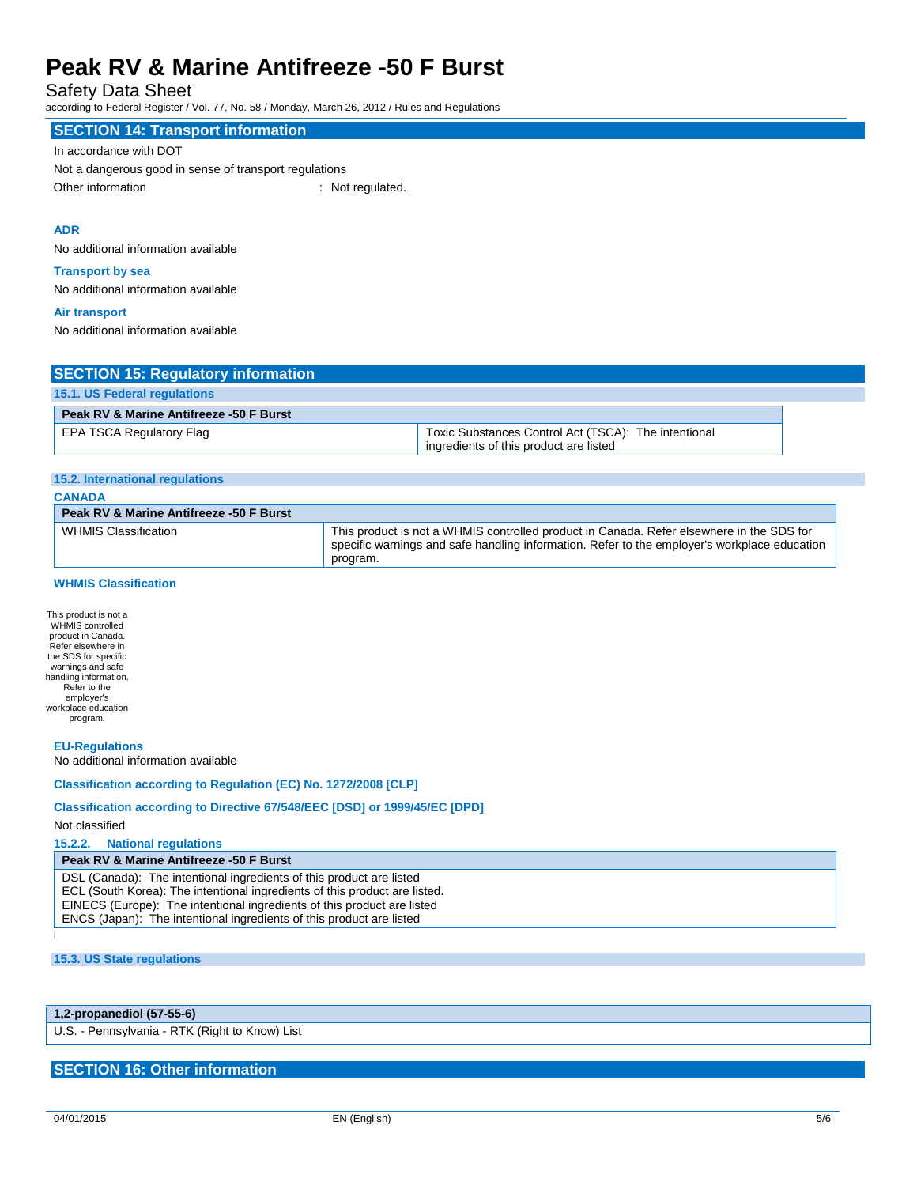Safety Data Sheet

according to Federal Register / Vol. 77, No. 58 / Monday, March 26, 2012 / Rules and Regulations

## **SECTION 14: Transport information**

#### In accordance with DOT

Not a dangerous good in sense of transport regulations Other information : Not regulated.

### **ADR**

No additional information available

### **Transport by sea**

No additional information available

#### **Air transport**

No additional information available

## **SECTION 15: Regulatory information**

| 15.1. US Federal regulations            |                                                                                                |
|-----------------------------------------|------------------------------------------------------------------------------------------------|
| Peak RV & Marine Antifreeze -50 F Burst |                                                                                                |
| EPA TSCA Regulatory Flag                | Toxic Substances Control Act (TSCA): The intentional<br>ingredients of this product are listed |

#### **15.2. International regulations**

| <b>CANADA</b>                           |                                                                                                                                                                                                      |
|-----------------------------------------|------------------------------------------------------------------------------------------------------------------------------------------------------------------------------------------------------|
| Peak RV & Marine Antifreeze -50 F Burst |                                                                                                                                                                                                      |
| WHMIS Classification                    | This product is not a WHMIS controlled product in Canada. Refer elsewhere in the SDS for<br>specific warnings and safe handling information. Refer to the employer's workplace education<br>program. |

## **WHMIS Classification**

This product is not a WHMIS controlled product in Canada. Refer elsewhere in the SDS for specific warnings and safe handling information. Refer to the employer's workplace education program.

#### **EU-Regulations**

No additional information available

### **Classification according to Regulation (EC) No. 1272/2008 [CLP]**

### **Classification according to Directive 67/548/EEC [DSD] or 1999/45/EC [DPD]**

### Not classified

**15.2.2. National regulations**

### **Peak RV & Marine Antifreeze -50 F Burst**

DSL (Canada): The intentional ingredients of this product are listed ECL (South Korea): The intentional ingredients of this product are listed. EINECS (Europe): The intentional ingredients of this product are listed ENCS (Japan): The intentional ingredients of this product are listed

## **15.3. US State regulations**

## **1,2-propanediol (57-55-6)**

U.S. - Pennsylvania - RTK (Right to Know) List

## **SECTION 16: Other information**